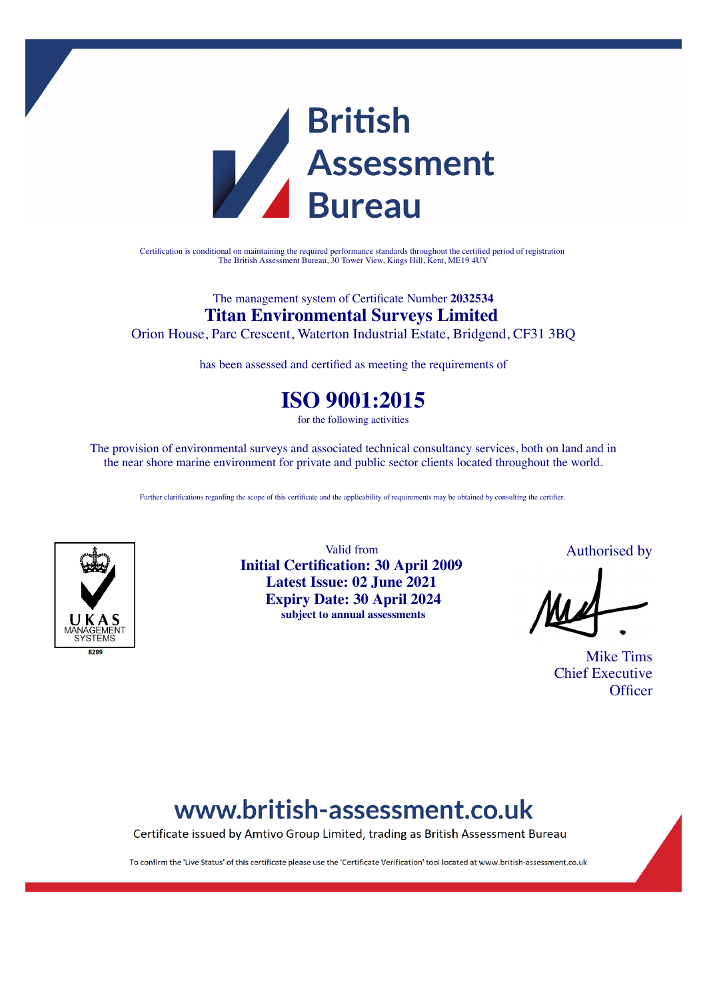

Certification is conditional on maintaining the required performance standards throughout the certified period of registration The British Assessment Bureau, 30 Tower View, Kings Hill, Kent, ME19 4UY

### The management system of Certificate Number **2032534 Titan Environmental Surveys Limited**

Orion House, Parc Crescent, Waterton Industrial Estate, Bridgend, CF31 3BQ

has been assessed and certified as meeting the requirements of

### **ISO 9001:2015**

for the following activities

The provision of environmental surveys and associated technical consultancy services, both on land and in the near shore marine environment for private and public sector clients located throughout the world.

Further clarifications regarding the scope of this certificate and the applicability of requirements may be obtained by consulting the certifier.



Valid from **Initial Certification: 30 April 2009 Latest Issue: 02 June 2021 Expiry Date: 30 April 2024 subject to annual assessments**

Authorised by

Mike Tims Chief Executive **Officer** 

# www.british-assessment.co.uk

Certificate issued by Amtivo Group Limited, trading as British Assessment Bureau

To confirm the 'Live Status' of this certificate please use the 'Certificate Verification' tool located at www.british-assessment.co.uk